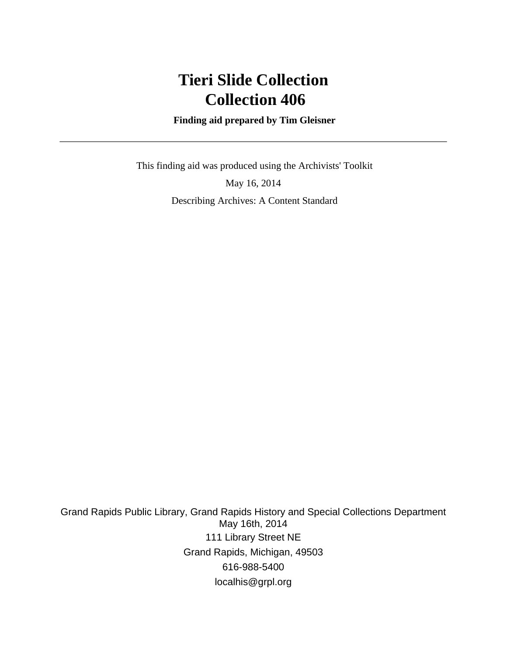## **Tieri Slide Collection Collection 406**

 **Finding aid prepared by Tim Gleisner**

 This finding aid was produced using the Archivists' Toolkit May 16, 2014 Describing Archives: A Content Standard

Grand Rapids Public Library, Grand Rapids History and Special Collections Department May 16th, 2014 111 Library Street NE Grand Rapids, Michigan, 49503 616-988-5400 localhis@grpl.org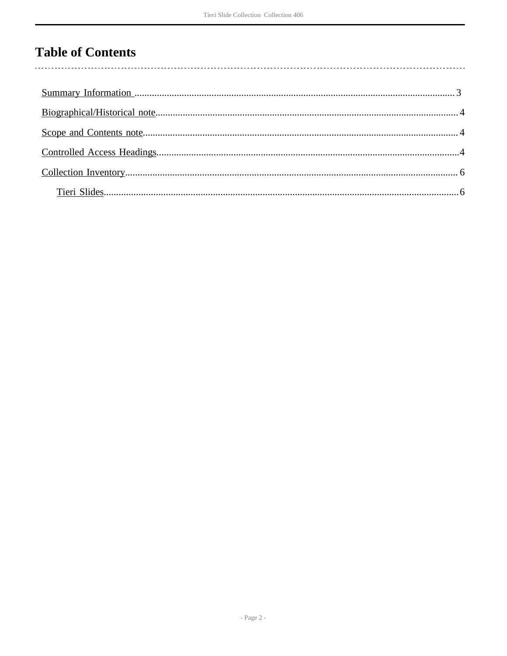### **Table of Contents**

l,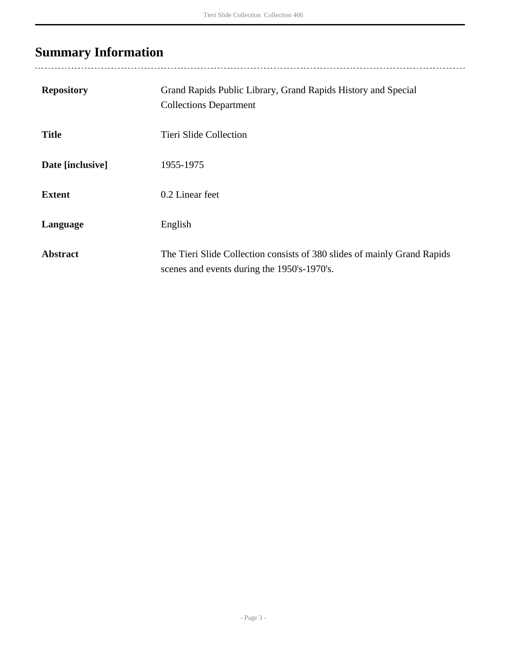# <span id="page-2-0"></span>**Summary Information**

| <b>Repository</b> | Grand Rapids Public Library, Grand Rapids History and Special<br><b>Collections Department</b>                          |
|-------------------|-------------------------------------------------------------------------------------------------------------------------|
| <b>Title</b>      | Tieri Slide Collection                                                                                                  |
| Date [inclusive]  | 1955-1975                                                                                                               |
| <b>Extent</b>     | 0.2 Linear feet                                                                                                         |
| Language          | English                                                                                                                 |
| <b>Abstract</b>   | The Tieri Slide Collection consists of 380 slides of mainly Grand Rapids<br>scenes and events during the 1950's-1970's. |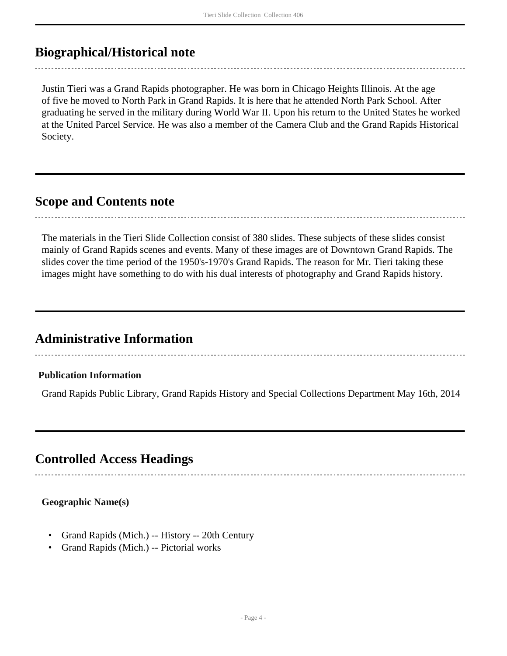### <span id="page-3-0"></span>**Biographical/Historical note**

Justin Tieri was a Grand Rapids photographer. He was born in Chicago Heights Illinois. At the age of five he moved to North Park in Grand Rapids. It is here that he attended North Park School. After graduating he served in the military during World War II. Upon his return to the United States he worked at the United Parcel Service. He was also a member of the Camera Club and the Grand Rapids Historical Society.

#### <span id="page-3-1"></span>**Scope and Contents note**

The materials in the Tieri Slide Collection consist of 380 slides. These subjects of these slides consist mainly of Grand Rapids scenes and events. Many of these images are of Downtown Grand Rapids. The slides cover the time period of the 1950's-1970's Grand Rapids. The reason for Mr. Tieri taking these images might have something to do with his dual interests of photography and Grand Rapids history.

### **Administrative Information**

#### **Publication Information**

Grand Rapids Public Library, Grand Rapids History and Special Collections Department May 16th, 2014

### <span id="page-3-2"></span>**Controlled Access Headings**

## **Geographic Name(s)**

- Grand Rapids (Mich.) -- History -- 20th Century
- Grand Rapids (Mich.) -- Pictorial works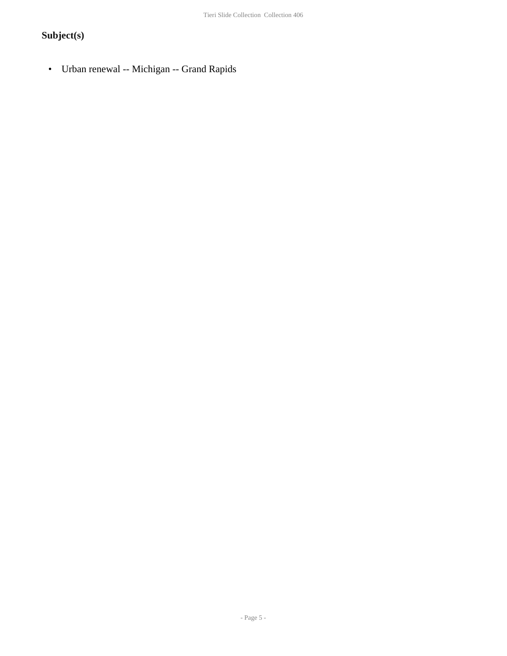### **Subject(s)**

• Urban renewal -- Michigan -- Grand Rapids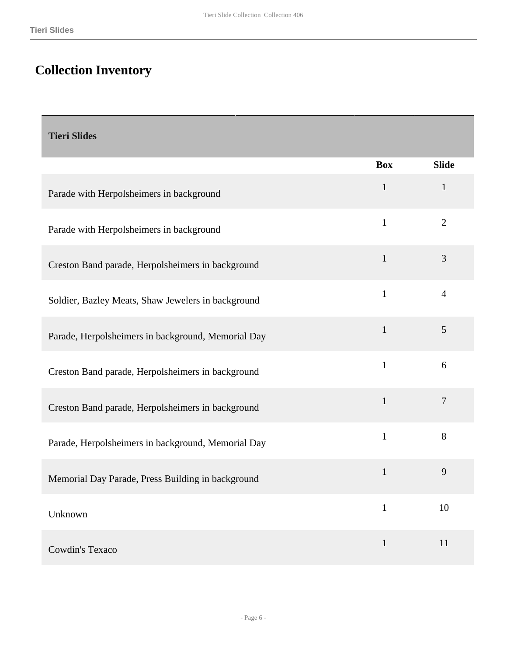### <span id="page-5-0"></span>**Collection Inventory**

#### <span id="page-5-1"></span>**Tieri Slides**

|                                                    | <b>Box</b>   | <b>Slide</b>   |
|----------------------------------------------------|--------------|----------------|
| Parade with Herpolsheimers in background           | $\mathbf{1}$ | $\mathbf{1}$   |
| Parade with Herpolsheimers in background           | $\mathbf{1}$ | $\overline{2}$ |
| Creston Band parade, Herpolsheimers in background  | 1            | 3              |
| Soldier, Bazley Meats, Shaw Jewelers in background | $\mathbf{1}$ | $\overline{4}$ |
| Parade, Herpolsheimers in background, Memorial Day | $\mathbf{1}$ | 5              |
| Creston Band parade, Herpolsheimers in background  | $\mathbf{1}$ | 6              |
| Creston Band parade, Herpolsheimers in background  | $\mathbf{1}$ | $\overline{7}$ |
| Parade, Herpolsheimers in background, Memorial Day | $\mathbf{1}$ | $8\,$          |
| Memorial Day Parade, Press Building in background  | $\mathbf{1}$ | 9              |
| Unknown                                            | $\mathbf{1}$ | 10             |
| Cowdin's Texaco                                    | $\mathbf{1}$ | 11             |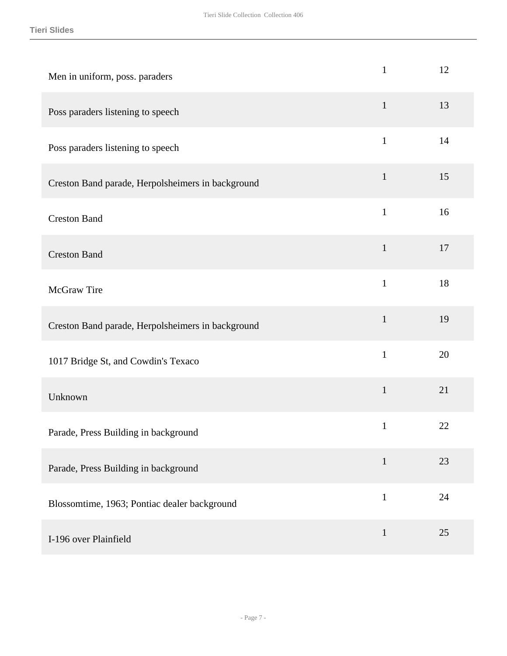| Men in uniform, poss. paraders                    | $\mathbf{1}$ | 12 |
|---------------------------------------------------|--------------|----|
| Poss paraders listening to speech                 | $\mathbf{1}$ | 13 |
| Poss paraders listening to speech                 | $\mathbf{1}$ | 14 |
| Creston Band parade, Herpolsheimers in background | $\mathbf{1}$ | 15 |
| <b>Creston Band</b>                               | $\mathbf{1}$ | 16 |
| <b>Creston Band</b>                               | $\mathbf{1}$ | 17 |
| <b>McGraw Tire</b>                                | $\mathbf{1}$ | 18 |
| Creston Band parade, Herpolsheimers in background | $\mathbf{1}$ | 19 |
| 1017 Bridge St, and Cowdin's Texaco               | $\mathbf{1}$ | 20 |
| Unknown                                           | $\mathbf 1$  | 21 |
| Parade, Press Building in background              | $\mathbf{1}$ | 22 |
| Parade, Press Building in background              | $\mathbf{1}$ | 23 |
| Blossomtime, 1963; Pontiac dealer background      | $\mathbf{1}$ | 24 |
| I-196 over Plainfield                             | $\mathbf{1}$ | 25 |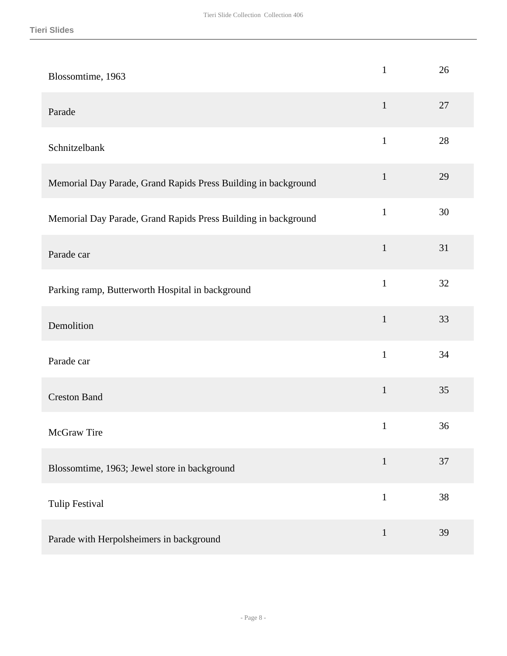| Blossomtime, 1963                                              | $\mathbf{1}$ | 26 |
|----------------------------------------------------------------|--------------|----|
| Parade                                                         | $\mathbf{1}$ | 27 |
| Schnitzelbank                                                  | $\mathbf{1}$ | 28 |
| Memorial Day Parade, Grand Rapids Press Building in background | $\mathbf{1}$ | 29 |
| Memorial Day Parade, Grand Rapids Press Building in background | $\mathbf{1}$ | 30 |
| Parade car                                                     | $\mathbf{1}$ | 31 |
| Parking ramp, Butterworth Hospital in background               | $\mathbf{1}$ | 32 |
| Demolition                                                     | $\mathbf{1}$ | 33 |
| Parade car                                                     | $\mathbf{1}$ | 34 |
| <b>Creston Band</b>                                            | $\mathbf 1$  | 35 |
| McGraw Tire                                                    | $\mathbf{1}$ | 36 |
| Blossomtime, 1963; Jewel store in background                   | $\mathbf{1}$ | 37 |
| <b>Tulip Festival</b>                                          | $\mathbf{1}$ | 38 |
| Parade with Herpolsheimers in background                       | $\mathbf{1}$ | 39 |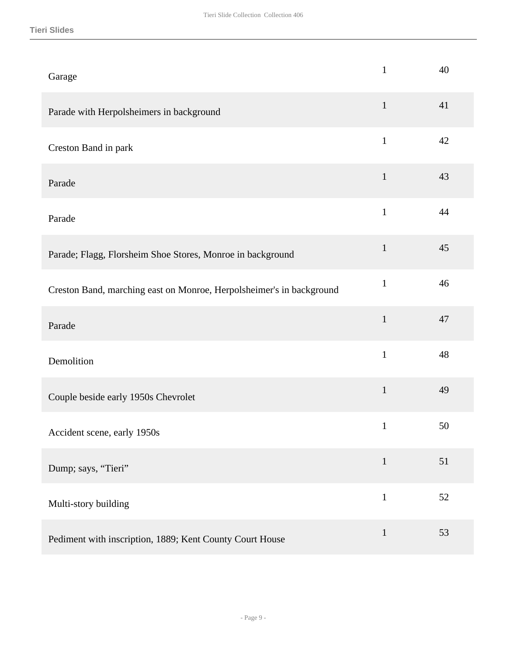| Garage                                                               | $\mathbf{1}$ | 40 |
|----------------------------------------------------------------------|--------------|----|
| Parade with Herpolsheimers in background                             | $\mathbf{1}$ | 41 |
| Creston Band in park                                                 | $\mathbf{1}$ | 42 |
| Parade                                                               | $\mathbf{1}$ | 43 |
| Parade                                                               | $\mathbf{1}$ | 44 |
| Parade; Flagg, Florsheim Shoe Stores, Monroe in background           | $\mathbf{1}$ | 45 |
| Creston Band, marching east on Monroe, Herpolsheimer's in background | $\mathbf{1}$ | 46 |
| Parade                                                               | $\mathbf{1}$ | 47 |
| Demolition                                                           | $\mathbf{1}$ | 48 |
| Couple beside early 1950s Chevrolet                                  | $\mathbf{1}$ | 49 |
| Accident scene, early 1950s                                          | $\mathbf{1}$ | 50 |
| Dump; says, "Tieri"                                                  | $\mathbf{1}$ | 51 |
| Multi-story building                                                 | $\mathbf{1}$ | 52 |
| Pediment with inscription, 1889; Kent County Court House             | $\mathbf{1}$ | 53 |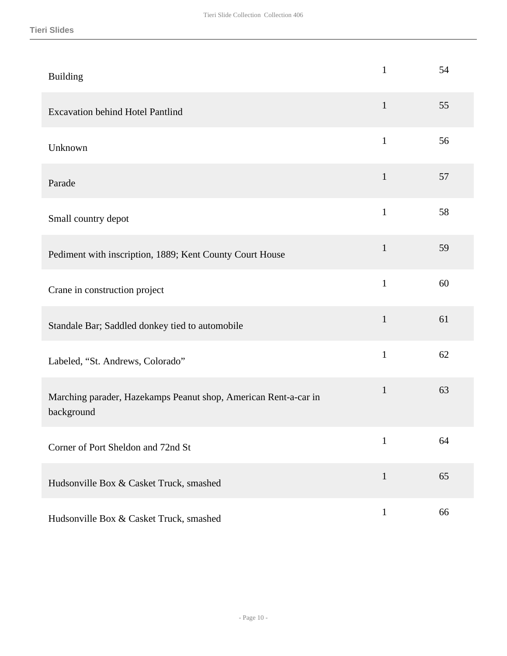| <b>Building</b>                                                               | $\mathbf{1}$ | 54 |
|-------------------------------------------------------------------------------|--------------|----|
| <b>Excavation behind Hotel Pantlind</b>                                       | $\mathbf{1}$ | 55 |
| Unknown                                                                       | $\mathbf{1}$ | 56 |
| Parade                                                                        | $\mathbf{1}$ | 57 |
| Small country depot                                                           | $\mathbf{1}$ | 58 |
| Pediment with inscription, 1889; Kent County Court House                      | $\mathbf{1}$ | 59 |
| Crane in construction project                                                 | $\mathbf{1}$ | 60 |
| Standale Bar; Saddled donkey tied to automobile                               | $\mathbf{1}$ | 61 |
| Labeled, "St. Andrews, Colorado"                                              | $\mathbf{1}$ | 62 |
| Marching parader, Hazekamps Peanut shop, American Rent-a-car in<br>background | $\mathbf{1}$ | 63 |
| Corner of Port Sheldon and 72nd St                                            | $\mathbf{1}$ | 64 |
| Hudsonville Box & Casket Truck, smashed                                       | $\mathbf{1}$ | 65 |
| Hudsonville Box & Casket Truck, smashed                                       | $\mathbf{1}$ | 66 |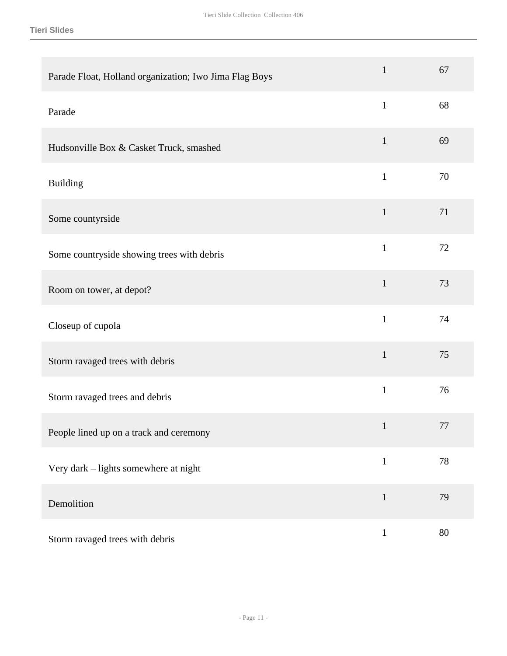#### **Tieri Slides**

| Parade Float, Holland organization; Iwo Jima Flag Boys | $\mathbf{1}$ | 67     |
|--------------------------------------------------------|--------------|--------|
| Parade                                                 | $\mathbf{1}$ | 68     |
| Hudsonville Box & Casket Truck, smashed                | $\mathbf{1}$ | 69     |
| <b>Building</b>                                        | $\mathbf{1}$ | 70     |
| Some countyrside                                       | $\mathbf{1}$ | 71     |
| Some countryside showing trees with debris             | $\mathbf{1}$ | 72     |
| Room on tower, at depot?                               | $\mathbf{1}$ | 73     |
| Closeup of cupola                                      | $\mathbf{1}$ | 74     |
| Storm ravaged trees with debris                        | $\mathbf{1}$ | 75     |
| Storm ravaged trees and debris                         | $\mathbf{1}$ | 76     |
| People lined up on a track and ceremony                | $\mathbf{1}$ | 77     |
| Very dark - lights somewhere at night                  | $\mathbf{1}$ | $78\,$ |
| Demolition                                             | $\mathbf{1}$ | 79     |
| Storm ravaged trees with debris                        | $\mathbf 1$  | $80\,$ |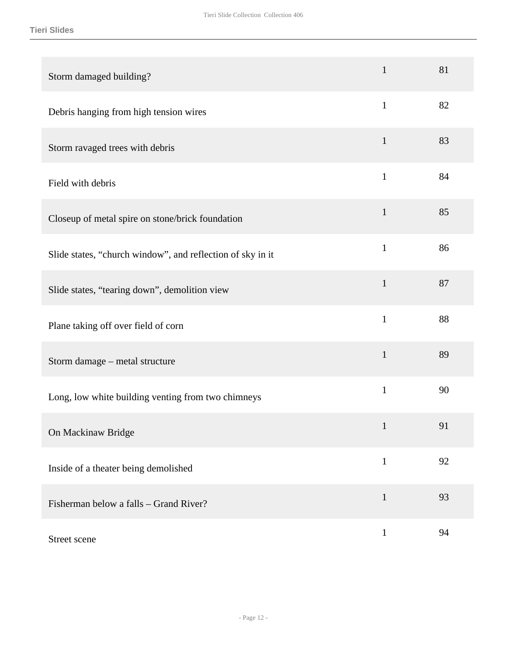| Storm damaged building?                                    | $\mathbf{1}$ | 81 |
|------------------------------------------------------------|--------------|----|
| Debris hanging from high tension wires                     | $\mathbf{1}$ | 82 |
| Storm ravaged trees with debris                            | $\mathbf{1}$ | 83 |
| Field with debris                                          | $\mathbf{1}$ | 84 |
| Closeup of metal spire on stone/brick foundation           | $\mathbf{1}$ | 85 |
| Slide states, "church window", and reflection of sky in it | $\mathbf{1}$ | 86 |
| Slide states, "tearing down", demolition view              | $\mathbf{1}$ | 87 |
| Plane taking off over field of corn                        | $\mathbf{1}$ | 88 |
| Storm damage - metal structure                             | $\mathbf{1}$ | 89 |
| Long, low white building venting from two chimneys         | $\mathbf{1}$ | 90 |
| On Mackinaw Bridge                                         | $\mathbf{1}$ | 91 |
| Inside of a theater being demolished                       | $\mathbf{1}$ | 92 |
| Fisherman below a falls – Grand River?                     | $\mathbf 1$  | 93 |
| Street scene                                               | $\mathbf{1}$ | 94 |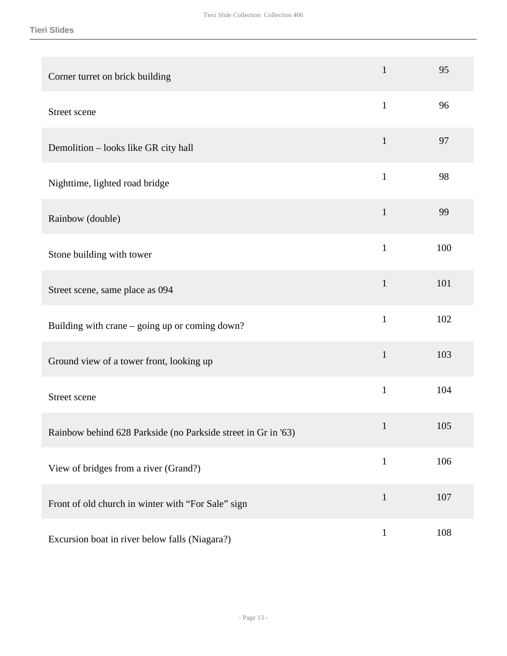| Corner turret on brick building                               | $\mathbf{1}$ | 95  |
|---------------------------------------------------------------|--------------|-----|
| Street scene                                                  | $\mathbf{1}$ | 96  |
| Demolition - looks like GR city hall                          | $\mathbf{1}$ | 97  |
| Nighttime, lighted road bridge                                | $\mathbf{1}$ | 98  |
| Rainbow (double)                                              | $\mathbf{1}$ | 99  |
| Stone building with tower                                     | $\mathbf{1}$ | 100 |
| Street scene, same place as 094                               | $\mathbf{1}$ | 101 |
| Building with crane – going up or coming down?                | $\mathbf{1}$ | 102 |
| Ground view of a tower front, looking up                      | $\mathbf{1}$ | 103 |
| Street scene                                                  | $\mathbf{1}$ | 104 |
| Rainbow behind 628 Parkside (no Parkside street in Gr in '63) | $\mathbf{1}$ | 105 |
| View of bridges from a river (Grand?)                         | $\mathbf 1$  | 106 |
| Front of old church in winter with "For Sale" sign            | $\mathbf{1}$ | 107 |
| Excursion boat in river below falls (Niagara?)                | $\mathbf{1}$ | 108 |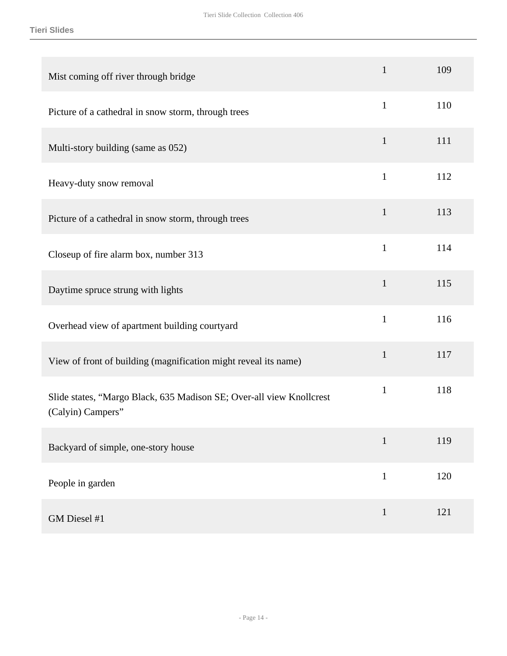| Mist coming off river through bridge                                                      | $\mathbf{1}$ | 109 |
|-------------------------------------------------------------------------------------------|--------------|-----|
| Picture of a cathedral in snow storm, through trees                                       | $\mathbf{1}$ | 110 |
| Multi-story building (same as 052)                                                        | $\mathbf{1}$ | 111 |
| Heavy-duty snow removal                                                                   | $\mathbf{1}$ | 112 |
| Picture of a cathedral in snow storm, through trees                                       | $\mathbf{1}$ | 113 |
| Closeup of fire alarm box, number 313                                                     | $\mathbf{1}$ | 114 |
| Daytime spruce strung with lights                                                         | $\mathbf{1}$ | 115 |
| Overhead view of apartment building courtyard                                             | $\mathbf{1}$ | 116 |
| View of front of building (magnification might reveal its name)                           | $\mathbf{1}$ | 117 |
| Slide states, "Margo Black, 635 Madison SE; Over-all view Knollcrest<br>(Calyin) Campers" | $\mathbf{1}$ | 118 |
| Backyard of simple, one-story house                                                       | $\mathbf{1}$ | 119 |
| People in garden                                                                          | $\mathbf{1}$ | 120 |
| GM Diesel #1                                                                              | $\mathbf{1}$ | 121 |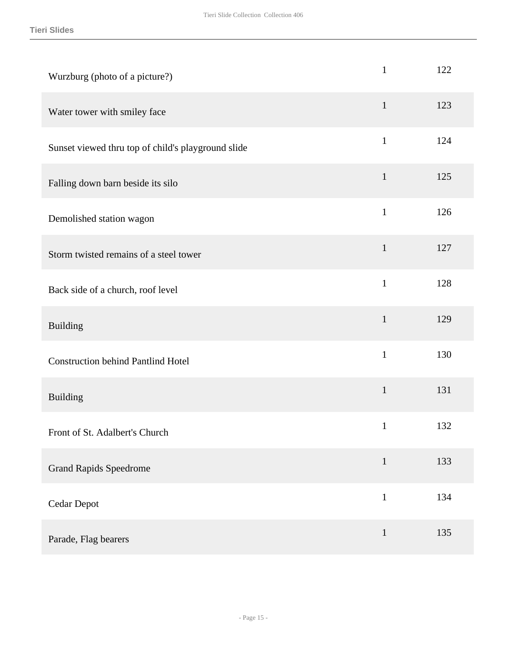| Wurzburg (photo of a picture?)                     | $\mathbf{1}$ | 122 |
|----------------------------------------------------|--------------|-----|
| Water tower with smiley face                       | $\mathbf{1}$ | 123 |
| Sunset viewed thru top of child's playground slide | $\mathbf{1}$ | 124 |
| Falling down barn beside its silo                  | $\mathbf{1}$ | 125 |
| Demolished station wagon                           | $\mathbf{1}$ | 126 |
| Storm twisted remains of a steel tower             | $\mathbf{1}$ | 127 |
| Back side of a church, roof level                  | $\mathbf{1}$ | 128 |
| <b>Building</b>                                    | $\mathbf{1}$ | 129 |
| <b>Construction behind Pantlind Hotel</b>          | $\mathbf{1}$ | 130 |
| Building                                           | $\mathbf{1}$ | 131 |
| Front of St. Adalbert's Church                     | $\mathbf{1}$ | 132 |
| <b>Grand Rapids Speedrome</b>                      | $\mathbf{1}$ | 133 |
| <b>Cedar Depot</b>                                 | $\mathbf{1}$ | 134 |
| Parade, Flag bearers                               | $\mathbf{1}$ | 135 |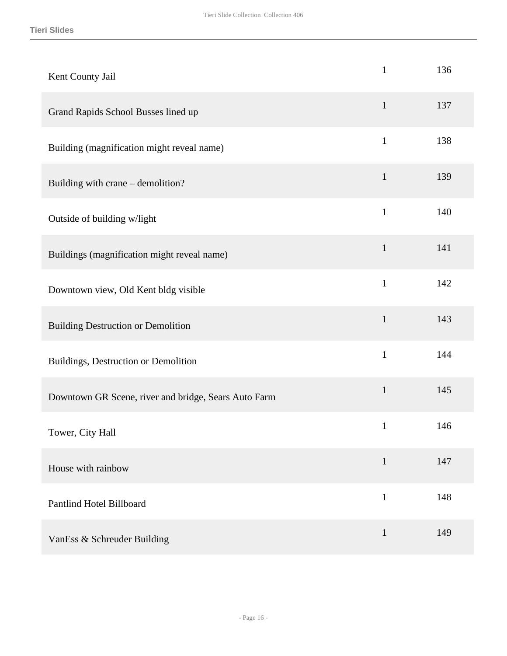| Kent County Jail                                     | $\mathbf{1}$ | 136 |
|------------------------------------------------------|--------------|-----|
| Grand Rapids School Busses lined up                  | $\mathbf{1}$ | 137 |
| Building (magnification might reveal name)           | $\mathbf{1}$ | 138 |
| Building with crane - demolition?                    | $\mathbf{1}$ | 139 |
| Outside of building w/light                          | $\mathbf{1}$ | 140 |
| Buildings (magnification might reveal name)          | $\mathbf{1}$ | 141 |
| Downtown view, Old Kent bldg visible                 | $\mathbf{1}$ | 142 |
| <b>Building Destruction or Demolition</b>            | $\mathbf{1}$ | 143 |
| Buildings, Destruction or Demolition                 | $\mathbf{1}$ | 144 |
| Downtown GR Scene, river and bridge, Sears Auto Farm | $\mathbf{1}$ | 145 |
| Tower, City Hall                                     | $\mathbf{1}$ | 146 |
| House with rainbow                                   | $\mathbf{1}$ | 147 |
| Pantlind Hotel Billboard                             | $\mathbf{1}$ | 148 |
| VanEss & Schreuder Building                          | $\mathbf{1}$ | 149 |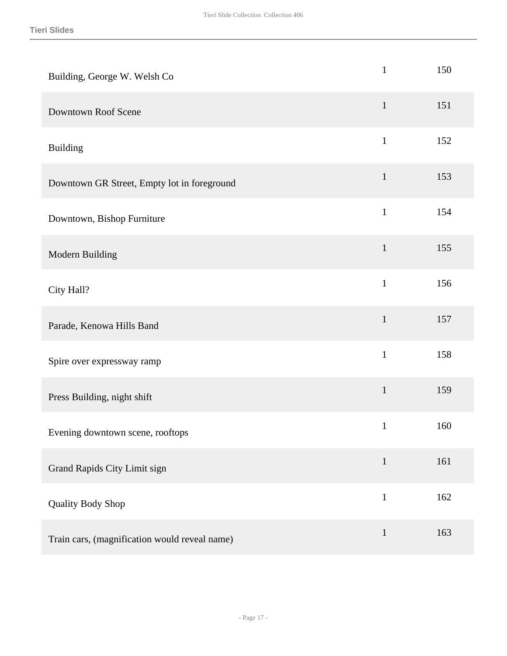| Building, George W. Welsh Co                  | $\mathbf{1}$ | 150 |
|-----------------------------------------------|--------------|-----|
| Downtown Roof Scene                           | $\mathbf{1}$ | 151 |
| <b>Building</b>                               | $\mathbf{1}$ | 152 |
| Downtown GR Street, Empty lot in foreground   | $\mathbf{1}$ | 153 |
| Downtown, Bishop Furniture                    | $\mathbf{1}$ | 154 |
| Modern Building                               | $\mathbf{1}$ | 155 |
| City Hall?                                    | $\mathbf{1}$ | 156 |
| Parade, Kenowa Hills Band                     | $\mathbf{1}$ | 157 |
| Spire over expressway ramp                    | $\mathbf{1}$ | 158 |
| Press Building, night shift                   | $\mathbf{1}$ | 159 |
| Evening downtown scene, rooftops              | $\mathbf{1}$ | 160 |
| Grand Rapids City Limit sign                  | $\mathbf{1}$ | 161 |
| Quality Body Shop                             | $\mathbf{1}$ | 162 |
| Train cars, (magnification would reveal name) | $\mathbf{1}$ | 163 |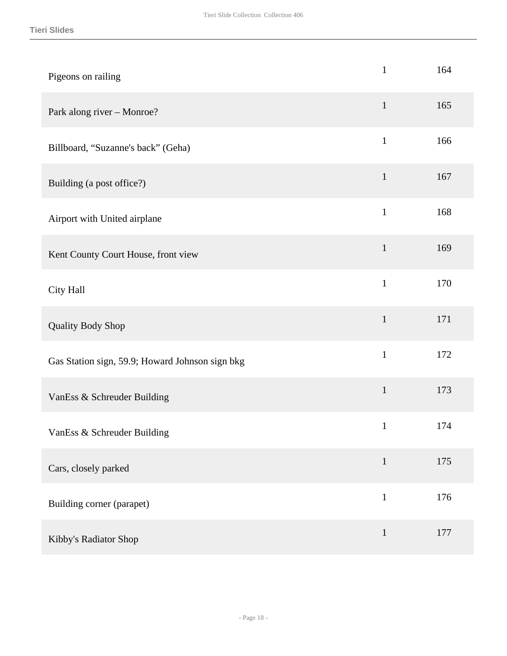| Pigeons on railing                              | $\mathbf{1}$ | 164 |
|-------------------------------------------------|--------------|-----|
| Park along river - Monroe?                      | $\mathbf{1}$ | 165 |
| Billboard, "Suzanne's back" (Geha)              | $\mathbf{1}$ | 166 |
| Building (a post office?)                       | $\mathbf{1}$ | 167 |
| Airport with United airplane                    | $\mathbf{1}$ | 168 |
| Kent County Court House, front view             | $\mathbf{1}$ | 169 |
| City Hall                                       | $\mathbf{1}$ | 170 |
| Quality Body Shop                               | $\mathbf{1}$ | 171 |
| Gas Station sign, 59.9; Howard Johnson sign bkg | $\mathbf{1}$ | 172 |
| VanEss & Schreuder Building                     | $\mathbf{1}$ | 173 |
| VanEss & Schreuder Building                     | $\mathbf{1}$ | 174 |
| Cars, closely parked                            | $\mathbf{1}$ | 175 |
| Building corner (parapet)                       | $\mathbf{1}$ | 176 |
| Kibby's Radiator Shop                           | $\mathbf{1}$ | 177 |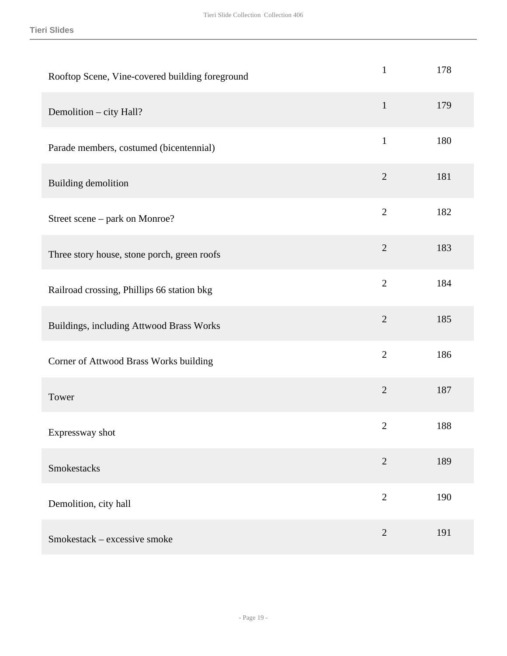| Rooftop Scene, Vine-covered building foreground | $\mathbf{1}$   | 178 |
|-------------------------------------------------|----------------|-----|
| Demolition - city Hall?                         | $\mathbf{1}$   | 179 |
| Parade members, costumed (bicentennial)         | $\mathbf{1}$   | 180 |
| Building demolition                             | $\overline{2}$ | 181 |
| Street scene – park on Monroe?                  | $\overline{2}$ | 182 |
| Three story house, stone porch, green roofs     | $\overline{2}$ | 183 |
| Railroad crossing, Phillips 66 station bkg      | $\overline{2}$ | 184 |
| Buildings, including Attwood Brass Works        | $\overline{2}$ | 185 |
| Corner of Attwood Brass Works building          | $\mathbf{2}$   | 186 |
| Tower                                           | $\sqrt{2}$     | 187 |
| Expressway shot                                 | $\overline{2}$ | 188 |
| Smokestacks                                     | $\overline{2}$ | 189 |
| Demolition, city hall                           | $\mathbf{2}$   | 190 |
| Smokestack – excessive smoke                    | $\sqrt{2}$     | 191 |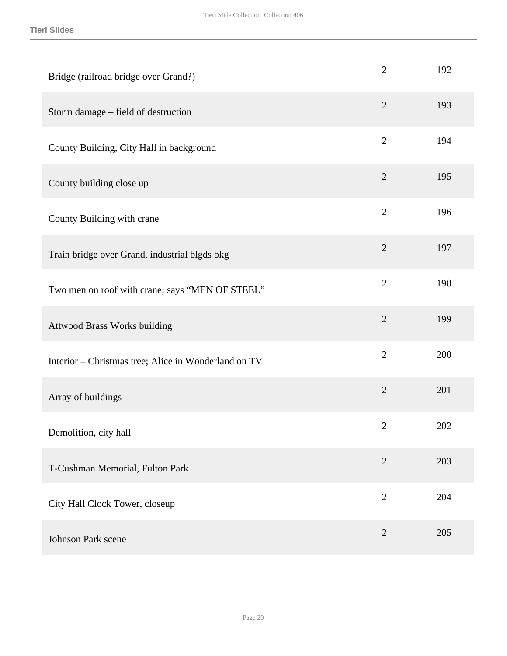| Bridge (railroad bridge over Grand?)                 | $\overline{2}$ | 192 |
|------------------------------------------------------|----------------|-----|
| Storm damage – field of destruction                  | $\overline{2}$ | 193 |
| County Building, City Hall in background             | $\overline{2}$ | 194 |
| County building close up                             | $\overline{2}$ | 195 |
| County Building with crane                           | $\overline{2}$ | 196 |
| Train bridge over Grand, industrial blgds bkg        | $\overline{2}$ | 197 |
| Two men on roof with crane; says "MEN OF STEEL"      | $\overline{2}$ | 198 |
| Attwood Brass Works building                         | $\overline{2}$ | 199 |
| Interior - Christmas tree; Alice in Wonderland on TV | $\overline{2}$ | 200 |
| Array of buildings                                   | $\overline{2}$ | 201 |
| Demolition, city hall                                | $\mathbf{2}$   | 202 |
| T-Cushman Memorial, Fulton Park                      | $\overline{2}$ | 203 |
| City Hall Clock Tower, closeup                       | $\overline{2}$ | 204 |
| <b>Johnson Park scene</b>                            | $\overline{2}$ | 205 |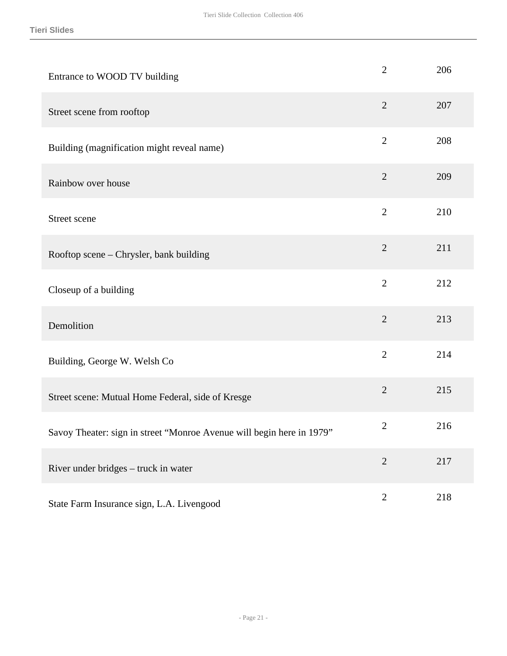| Entrance to WOOD TV building                                          | $\mathbf{2}$   | 206 |
|-----------------------------------------------------------------------|----------------|-----|
| Street scene from rooftop                                             | $\overline{2}$ | 207 |
| Building (magnification might reveal name)                            | $\overline{2}$ | 208 |
| Rainbow over house                                                    | $\overline{2}$ | 209 |
| Street scene                                                          | $\overline{2}$ | 210 |
| Rooftop scene – Chrysler, bank building                               | $\overline{2}$ | 211 |
| Closeup of a building                                                 | $\overline{2}$ | 212 |
| Demolition                                                            | $\overline{2}$ | 213 |
| Building, George W. Welsh Co                                          | $\overline{2}$ | 214 |
| Street scene: Mutual Home Federal, side of Kresge                     | $\overline{2}$ | 215 |
| Savoy Theater: sign in street "Monroe Avenue will begin here in 1979" | $\overline{2}$ | 216 |
| River under bridges - truck in water                                  | $\overline{2}$ | 217 |
| State Farm Insurance sign, L.A. Livengood                             | $\mathbf{2}$   | 218 |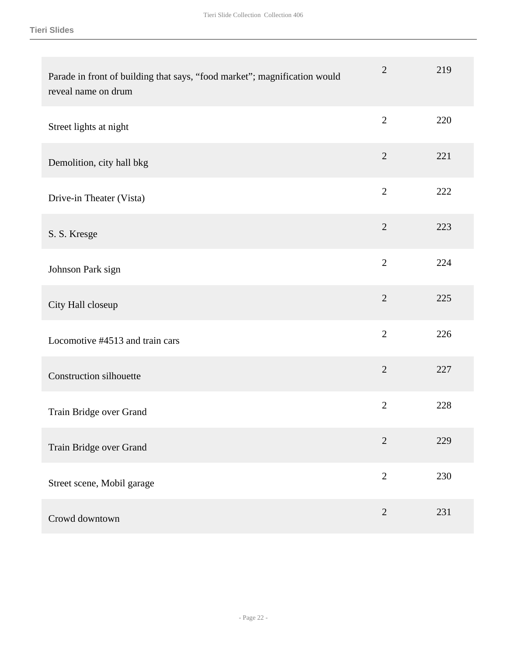| Parade in front of building that says, "food market"; magnification would<br>reveal name on drum | $\overline{2}$ | 219 |
|--------------------------------------------------------------------------------------------------|----------------|-----|
| Street lights at night                                                                           | $\overline{2}$ | 220 |
| Demolition, city hall bkg                                                                        | $\sqrt{2}$     | 221 |
| Drive-in Theater (Vista)                                                                         | $\overline{2}$ | 222 |
| S. S. Kresge                                                                                     | $\overline{2}$ | 223 |
| Johnson Park sign                                                                                | $\overline{2}$ | 224 |
| City Hall closeup                                                                                | $\overline{2}$ | 225 |
| Locomotive #4513 and train cars                                                                  | $\overline{2}$ | 226 |
| <b>Construction silhouette</b>                                                                   | $\overline{2}$ | 227 |
| Train Bridge over Grand                                                                          | $\mathbf{2}$   | 228 |
| Train Bridge over Grand                                                                          | $\overline{2}$ | 229 |
| Street scene, Mobil garage                                                                       | $\overline{2}$ | 230 |
| Crowd downtown                                                                                   | $\overline{2}$ | 231 |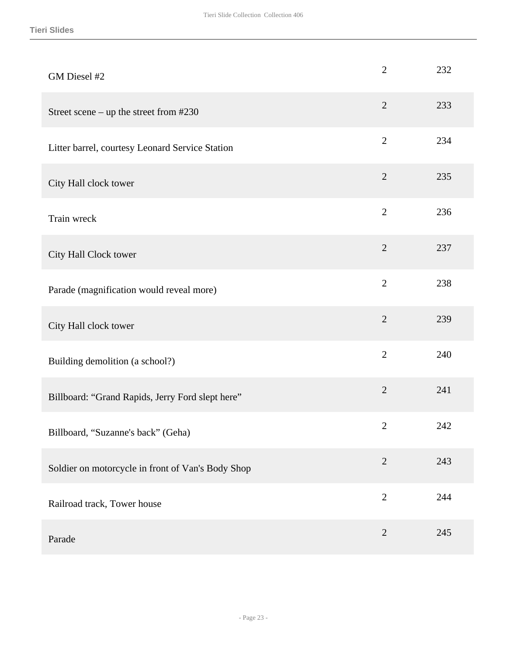| GM Diesel #2                                      | $\overline{2}$ | 232 |
|---------------------------------------------------|----------------|-----|
| Street scene – up the street from $#230$          | $\overline{2}$ | 233 |
| Litter barrel, courtesy Leonard Service Station   | $\overline{2}$ | 234 |
| City Hall clock tower                             | $\overline{2}$ | 235 |
| Train wreck                                       | $\mathbf{2}$   | 236 |
| City Hall Clock tower                             | $\overline{2}$ | 237 |
| Parade (magnification would reveal more)          | $\overline{2}$ | 238 |
| City Hall clock tower                             | $\overline{2}$ | 239 |
| Building demolition (a school?)                   | $\overline{2}$ | 240 |
| Billboard: "Grand Rapids, Jerry Ford slept here"  | $\overline{2}$ | 241 |
| Billboard, "Suzanne's back" (Geha)                | $\overline{2}$ | 242 |
| Soldier on motorcycle in front of Van's Body Shop | $\overline{2}$ | 243 |
| Railroad track, Tower house                       | $\overline{2}$ | 244 |
| Parade                                            | $\overline{2}$ | 245 |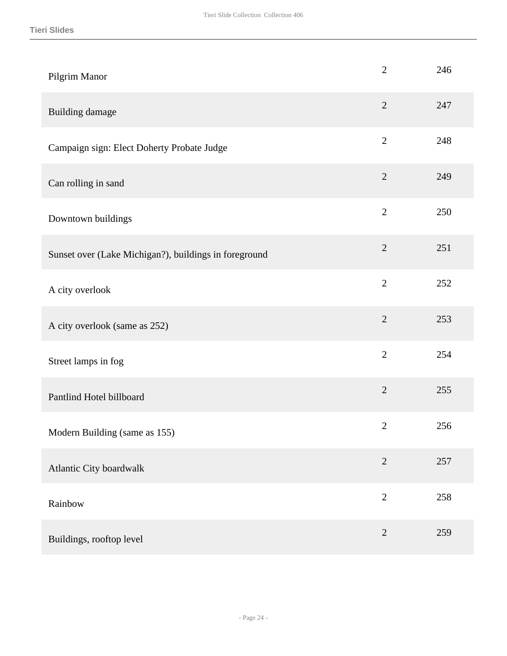| Pilgrim Manor                                         | $\overline{2}$ | 246 |
|-------------------------------------------------------|----------------|-----|
| Building damage                                       | $\overline{2}$ | 247 |
| Campaign sign: Elect Doherty Probate Judge            | $\mathbf{2}$   | 248 |
| Can rolling in sand                                   | $\overline{2}$ | 249 |
| Downtown buildings                                    | $\overline{2}$ | 250 |
| Sunset over (Lake Michigan?), buildings in foreground | $\overline{2}$ | 251 |
| A city overlook                                       | $\overline{2}$ | 252 |
| A city overlook (same as 252)                         | $\overline{2}$ | 253 |
| Street lamps in fog                                   | $\overline{2}$ | 254 |
| Pantlind Hotel billboard                              | $\overline{2}$ | 255 |
| Modern Building (same as 155)                         | $\mathbf{2}$   | 256 |
| Atlantic City boardwalk                               | $\overline{2}$ | 257 |
| Rainbow                                               | $\overline{2}$ | 258 |
| Buildings, rooftop level                              | $\sqrt{2}$     | 259 |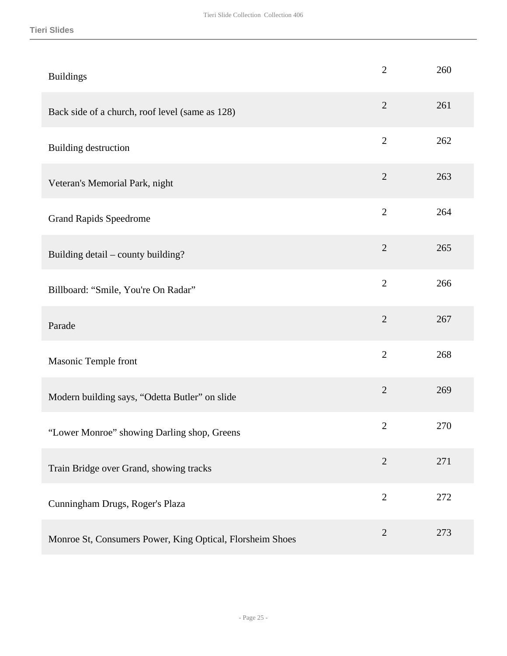| <b>Buildings</b>                                | $\overline{2}$ | 260 |
|-------------------------------------------------|----------------|-----|
| Back side of a church, roof level (same as 128) | $\overline{2}$ | 261 |
| Building destruction                            | $\overline{2}$ | 262 |
| Veteran's Memorial Park, night                  | $\overline{2}$ | 263 |
| <b>Grand Rapids Speedrome</b>                   | $\overline{2}$ | 264 |
| Building detail – county building?              | $\overline{2}$ | 265 |
| Billboard: "Smile, You're On Radar"             | $\overline{2}$ | 266 |
| Parade                                          | $\overline{2}$ | 267 |
| Masonic Temple front                            | $\overline{2}$ | 268 |
| Modern building says, "Odetta Butler" on slide  | $\overline{2}$ | 269 |
|                                                 |                |     |
| "Lower Monroe" showing Darling shop, Greens     | $\overline{2}$ | 270 |
| Train Bridge over Grand, showing tracks         | $\mathfrak{2}$ | 271 |
| Cunningham Drugs, Roger's Plaza                 | $\overline{2}$ | 272 |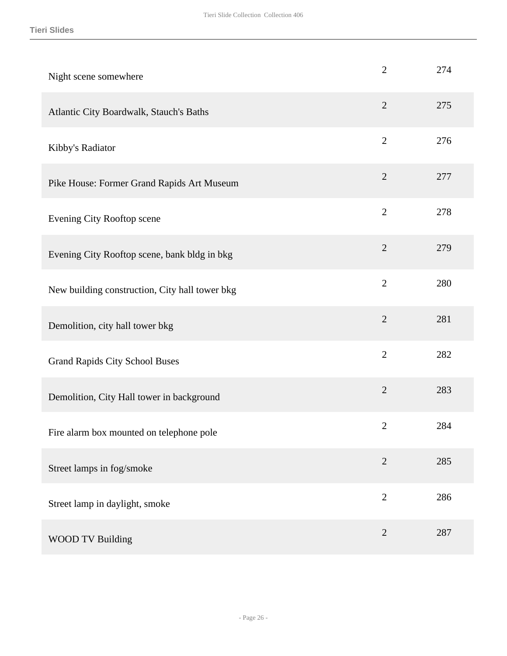| Night scene somewhere                          | $\overline{2}$ | 274 |
|------------------------------------------------|----------------|-----|
| Atlantic City Boardwalk, Stauch's Baths        | $\overline{2}$ | 275 |
| Kibby's Radiator                               | $\mathbf{2}$   | 276 |
| Pike House: Former Grand Rapids Art Museum     | $\overline{2}$ | 277 |
| Evening City Rooftop scene                     | $\overline{2}$ | 278 |
| Evening City Rooftop scene, bank bldg in bkg   | $\overline{2}$ | 279 |
| New building construction, City hall tower bkg | $\overline{2}$ | 280 |
| Demolition, city hall tower bkg                | $\overline{2}$ | 281 |
| <b>Grand Rapids City School Buses</b>          | $\overline{2}$ | 282 |
| Demolition, City Hall tower in background      | $\overline{2}$ | 283 |
| Fire alarm box mounted on telephone pole       | $\overline{2}$ | 284 |
| Street lamps in fog/smoke                      | $\overline{2}$ | 285 |
| Street lamp in daylight, smoke                 | $\overline{2}$ | 286 |
| <b>WOOD TV Building</b>                        | $\overline{2}$ | 287 |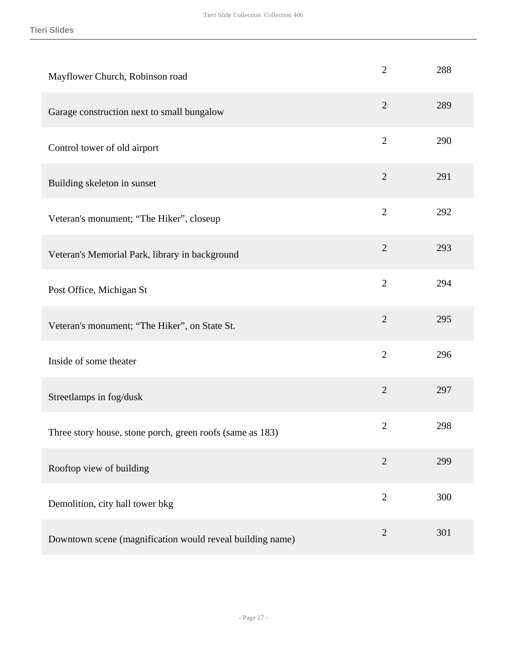| Mayflower Church, Robinson road                           | $\overline{2}$ | 288 |
|-----------------------------------------------------------|----------------|-----|
| Garage construction next to small bungalow                | $\overline{2}$ | 289 |
| Control tower of old airport                              | $\overline{2}$ | 290 |
| Building skeleton in sunset                               | $\overline{2}$ | 291 |
| Veteran's monument; "The Hiker", closeup                  | $\overline{2}$ | 292 |
| Veteran's Memorial Park, library in background            | $\overline{2}$ | 293 |
| Post Office, Michigan St                                  | $\overline{2}$ | 294 |
| Veteran's monument; "The Hiker", on State St.             | $\overline{2}$ | 295 |
| Inside of some theater                                    | $\overline{2}$ | 296 |
| Streetlamps in fog/dusk                                   | $\overline{2}$ | 297 |
| Three story house, stone porch, green roofs (same as 183) | $\overline{2}$ | 298 |
| Rooftop view of building                                  | $\overline{2}$ | 299 |
| Demolition, city hall tower bkg                           | $\mathbf{2}$   | 300 |
| Downtown scene (magnification would reveal building name) | $\overline{2}$ | 301 |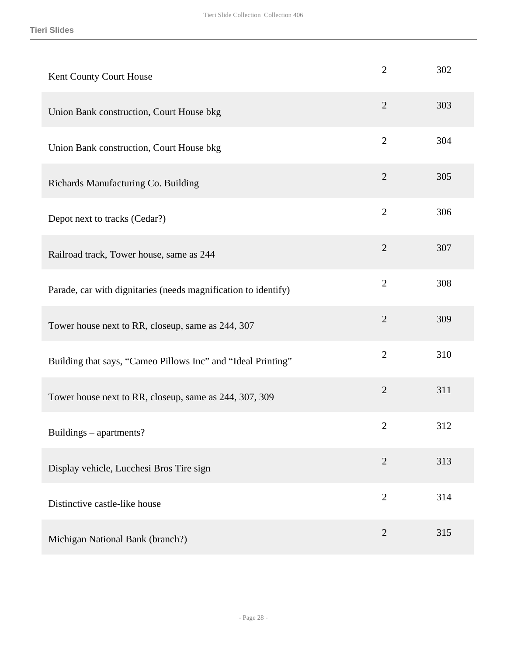| Kent County Court House                                        | $\overline{2}$ | 302 |
|----------------------------------------------------------------|----------------|-----|
| Union Bank construction, Court House bkg                       | $\overline{2}$ | 303 |
| Union Bank construction, Court House bkg                       | $\overline{2}$ | 304 |
| Richards Manufacturing Co. Building                            | $\overline{2}$ | 305 |
| Depot next to tracks (Cedar?)                                  | $\overline{2}$ | 306 |
| Railroad track, Tower house, same as 244                       | $\overline{2}$ | 307 |
| Parade, car with dignitaries (needs magnification to identify) | $\overline{2}$ | 308 |
| Tower house next to RR, closeup, same as 244, 307              | $\overline{2}$ | 309 |
| Building that says, "Cameo Pillows Inc" and "Ideal Printing"   | $\overline{2}$ | 310 |
| Tower house next to RR, closeup, same as 244, 307, 309         | $\overline{2}$ | 311 |
| Buildings – apartments?                                        | $\overline{2}$ | 312 |
| Display vehicle, Lucchesi Bros Tire sign                       | $\overline{2}$ | 313 |
| Distinctive castle-like house                                  | $\overline{2}$ | 314 |
| Michigan National Bank (branch?)                               | $\overline{2}$ | 315 |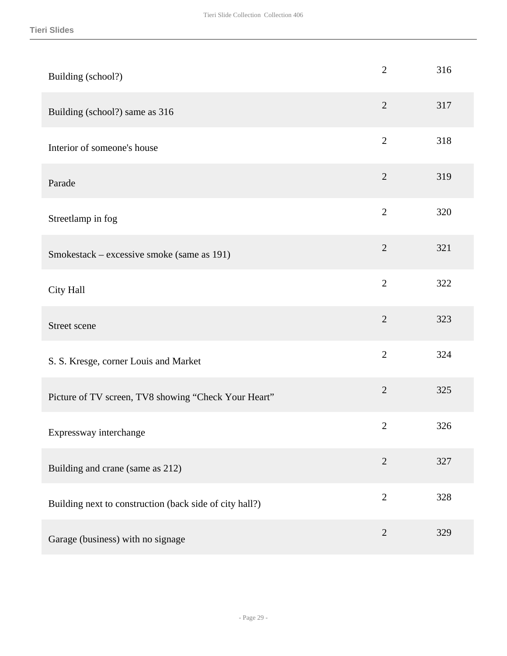| Building (school?)                                      | $\overline{2}$ | 316 |
|---------------------------------------------------------|----------------|-----|
| Building (school?) same as 316                          | $\overline{2}$ | 317 |
| Interior of someone's house                             | $\overline{2}$ | 318 |
| Parade                                                  | $\overline{2}$ | 319 |
| Streetlamp in fog                                       | $\overline{2}$ | 320 |
| Smokestack – excessive smoke (same as 191)              | $\overline{2}$ | 321 |
| City Hall                                               | $\overline{2}$ | 322 |
| Street scene                                            | $\overline{2}$ | 323 |
| S. S. Kresge, corner Louis and Market                   | $\overline{2}$ | 324 |
| Picture of TV screen, TV8 showing "Check Your Heart"    | $\overline{2}$ | 325 |
| Expressway interchange                                  | $\overline{2}$ | 326 |
| Building and crane (same as 212)                        | $\overline{2}$ | 327 |
| Building next to construction (back side of city hall?) | $\overline{2}$ | 328 |
| Garage (business) with no signage                       | $\overline{2}$ | 329 |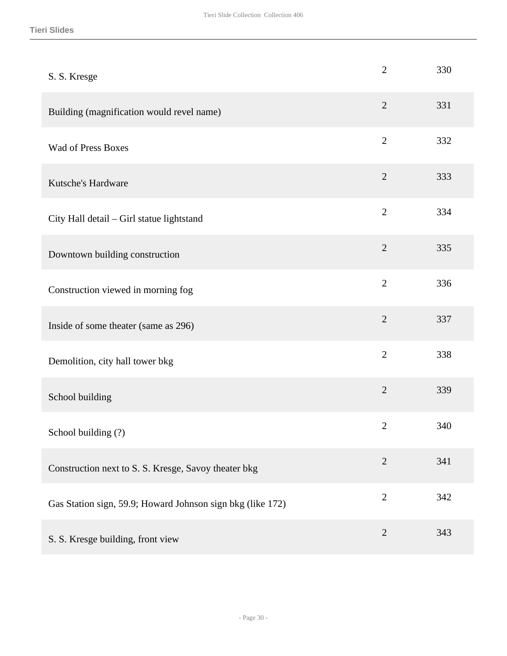| S. S. Kresge                                               | $\overline{2}$ | 330 |
|------------------------------------------------------------|----------------|-----|
| Building (magnification would revel name)                  | $\overline{2}$ | 331 |
| <b>Wad of Press Boxes</b>                                  | $\overline{2}$ | 332 |
| Kutsche's Hardware                                         | $\overline{2}$ | 333 |
| City Hall detail - Girl statue lightstand                  | $\overline{2}$ | 334 |
| Downtown building construction                             | $\overline{2}$ | 335 |
| Construction viewed in morning fog                         | $\overline{2}$ | 336 |
| Inside of some theater (same as 296)                       | $\overline{2}$ | 337 |
| Demolition, city hall tower bkg                            | $\overline{2}$ | 338 |
| School building                                            | $\overline{2}$ | 339 |
| School building (?)                                        | $\overline{2}$ | 340 |
| Construction next to S. S. Kresge, Savoy theater bkg       | $\overline{2}$ | 341 |
| Gas Station sign, 59.9; Howard Johnson sign bkg (like 172) | $\overline{2}$ | 342 |
| S. S. Kresge building, front view                          | $\overline{2}$ | 343 |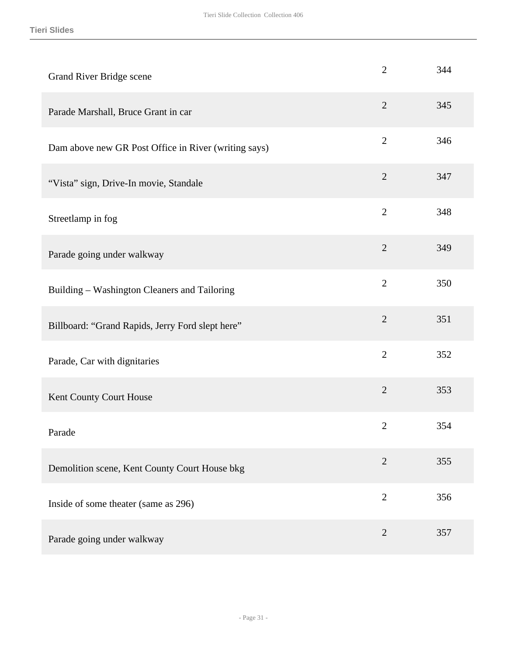| Grand River Bridge scene                             | $\overline{2}$ | 344 |
|------------------------------------------------------|----------------|-----|
| Parade Marshall, Bruce Grant in car                  | $\overline{2}$ | 345 |
| Dam above new GR Post Office in River (writing says) | $\overline{2}$ | 346 |
| "Vista" sign, Drive-In movie, Standale               | $\overline{2}$ | 347 |
| Streetlamp in fog                                    | $\overline{2}$ | 348 |
| Parade going under walkway                           | $\overline{2}$ | 349 |
| Building - Washington Cleaners and Tailoring         | $\overline{2}$ | 350 |
| Billboard: "Grand Rapids, Jerry Ford slept here"     | $\overline{2}$ | 351 |
| Parade, Car with dignitaries                         | $\overline{2}$ | 352 |
| Kent County Court House                              | $\overline{2}$ | 353 |
| Parade                                               | $\overline{2}$ | 354 |
| Demolition scene, Kent County Court House bkg        | $\overline{2}$ | 355 |
| Inside of some theater (same as 296)                 | $\overline{2}$ | 356 |
| Parade going under walkway                           | $\overline{2}$ | 357 |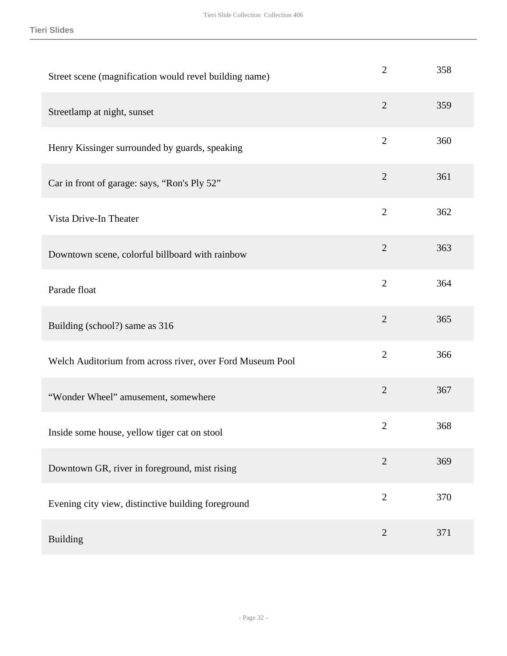| Street scene (magnification would revel building name)    | $\overline{2}$ | 358 |
|-----------------------------------------------------------|----------------|-----|
| Streetlamp at night, sunset                               | $\overline{2}$ | 359 |
| Henry Kissinger surrounded by guards, speaking            | $\overline{2}$ | 360 |
| Car in front of garage: says, "Ron's Ply 52"              | $\overline{2}$ | 361 |
| Vista Drive-In Theater                                    | $\overline{2}$ | 362 |
| Downtown scene, colorful billboard with rainbow           | $\overline{2}$ | 363 |
| Parade float                                              | $\overline{2}$ | 364 |
| Building (school?) same as 316                            | $\overline{2}$ | 365 |
| Welch Auditorium from across river, over Ford Museum Pool | $\overline{2}$ | 366 |
| "Wonder Wheel" amusement, somewhere                       | $\overline{2}$ | 367 |
| Inside some house, yellow tiger cat on stool              | $\overline{2}$ | 368 |
| Downtown GR, river in foreground, mist rising             | $\overline{2}$ | 369 |
| Evening city view, distinctive building foreground        | $\overline{2}$ | 370 |
| <b>Building</b>                                           | $\overline{2}$ | 371 |